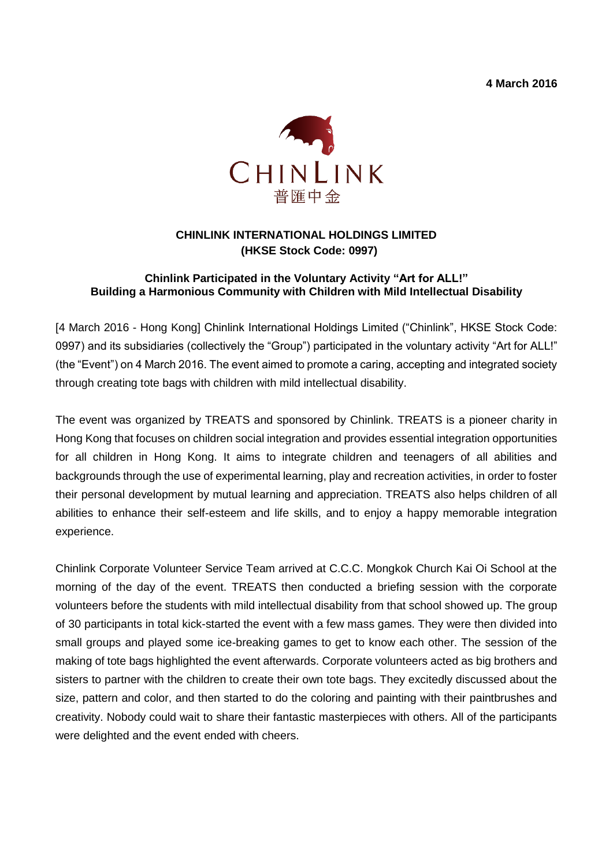**4 March 2016**



# **CHINLINK INTERNATIONAL HOLDINGS LIMITED (HKSE Stock Code: 0997)**

# **Chinlink Participated in the Voluntary Activity "Art for ALL!" Building a Harmonious Community with Children with Mild Intellectual Disability**

[4 March 2016 - Hong Kong] Chinlink International Holdings Limited ("Chinlink", HKSE Stock Code: 0997) and its subsidiaries (collectively the "Group") participated in the voluntary activity "Art for ALL!" (the "Event") on 4 March 2016. The event aimed to promote a caring, accepting and integrated society through creating tote bags with children with mild intellectual disability.

The event was organized by TREATS and sponsored by Chinlink. TREATS is a pioneer charity in Hong Kong that focuses on children social integration and provides essential integration opportunities for all children in Hong Kong. It aims to integrate children and teenagers of all abilities and backgrounds through the use of experimental learning, play and recreation activities, in order to foster their personal development by mutual learning and appreciation. TREATS also helps children of all abilities to enhance their self-esteem and life skills, and to enjoy a happy memorable integration experience.

Chinlink Corporate Volunteer Service Team arrived at C.C.C. Mongkok Church Kai Oi School at the morning of the day of the event. TREATS then conducted a briefing session with the corporate volunteers before the students with mild intellectual disability from that school showed up. The group of 30 participants in total kick-started the event with a few mass games. They were then divided into small groups and played some ice-breaking games to get to know each other. The session of the making of tote bags highlighted the event afterwards. Corporate volunteers acted as big brothers and sisters to partner with the children to create their own tote bags. They excitedly discussed about the size, pattern and color, and then started to do the coloring and painting with their paintbrushes and creativity. Nobody could wait to share their fantastic masterpieces with others. All of the participants were delighted and the event ended with cheers.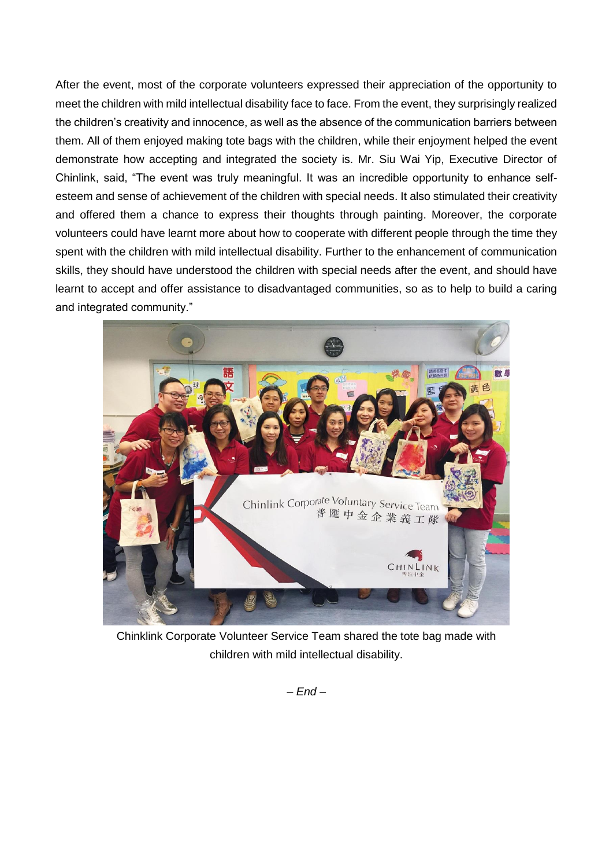After the event, most of the corporate volunteers expressed their appreciation of the opportunity to meet the children with mild intellectual disability face to face. From the event, they surprisingly realized the children's creativity and innocence, as well as the absence of the communication barriers between them. All of them enjoyed making tote bags with the children, while their enjoyment helped the event demonstrate how accepting and integrated the society is. Mr. Siu Wai Yip, Executive Director of Chinlink, said, "The event was truly meaningful. It was an incredible opportunity to enhance selfesteem and sense of achievement of the children with special needs. It also stimulated their creativity and offered them a chance to express their thoughts through painting. Moreover, the corporate volunteers could have learnt more about how to cooperate with different people through the time they spent with the children with mild intellectual disability. Further to the enhancement of communication skills, they should have understood the children with special needs after the event, and should have learnt to accept and offer assistance to disadvantaged communities, so as to help to build a caring and integrated community."



Chinklink Corporate Volunteer Service Team shared the tote bag made with children with mild intellectual disability.

*– End –*